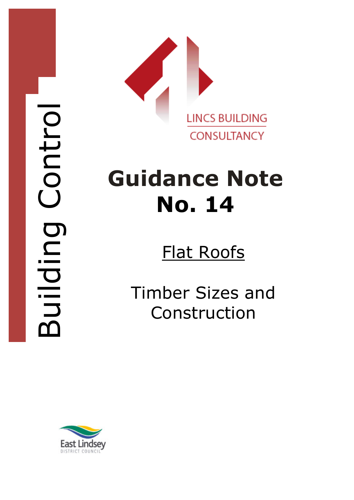

## Guidance Note No. 14

## Flat Roofs

Timber Sizes and Construction

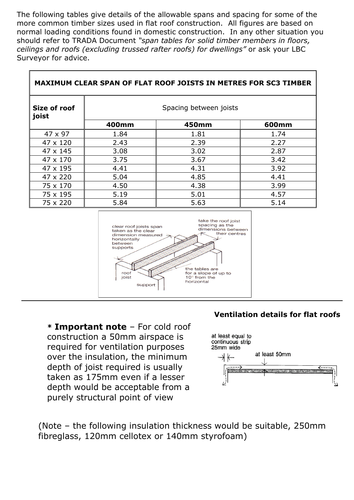The following tables give details of the allowable spans and spacing for some of the more common timber sizes used in flat roof construction. All figures are based on normal loading conditions found in domestic construction. In any other situation you should refer to TRADA Document "span tables for solid timber members in floors, ceilings and roofs (excluding trussed rafter roofs) for dwellings" or ask your LBC Surveyor for advice.

| <b>MAXIMUM CLEAR SPAN OF FLAT ROOF JOISTS IN METRES FOR SC3 TIMBER</b> |                        |       |       |
|------------------------------------------------------------------------|------------------------|-------|-------|
| Size of roof<br>joist                                                  | Spacing between joists |       |       |
|                                                                        | 400mm                  | 450mm | 600mm |
| $47 \times 97$                                                         | 1.84                   | 1.81  | 1.74  |
| $47 \times 120$                                                        | 2.43                   | 2.39  | 2.27  |
| $47 \times 145$                                                        | 3.08                   | 3.02  | 2.87  |
| 47 x 170                                                               | 3.75                   | 3.67  | 3.42  |
| 47 x 195                                                               | 4.41                   | 4.31  | 3.92  |
| 47 x 220                                                               | 5.04                   | 4.85  | 4.41  |
| 75 x 170                                                               | 4.50                   | 4.38  | 3.99  |
| 75 x 195                                                               | 5.19                   | 5.01  | 4.57  |
| 75 x 220                                                               | 5.84                   | 5.63  | 5.14  |



\* Important note – For cold roof construction a 50mm airspace is required for ventilation purposes over the insulation, the minimum depth of joist required is usually taken as 175mm even if a lesser depth would be acceptable from a purely structural point of view

 $\mathbb{F}$ 

## Ventilation details for flat roofs

٦



(Note – the following insulation thickness would be suitable, 250mm fibreglass, 120mm cellotex or 140mm styrofoam)